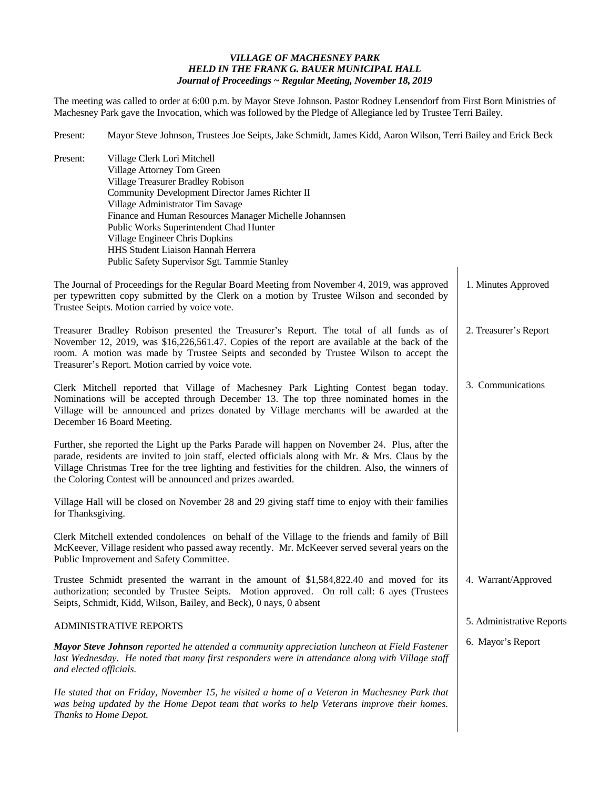## *VILLAGE OF MACHESNEY PARK HELD IN THE FRANK G. BAUER MUNICIPAL HALL Journal of Proceedings ~ Regular Meeting, November 18, 2019*

The meeting was called to order at 6:00 p.m. by Mayor Steve Johnson. Pastor Rodney Lensendorf from First Born Ministries of Machesney Park gave the Invocation, which was followed by the Pledge of Allegiance led by Trustee Terri Bailey.

Present: Mayor Steve Johnson, Trustees Joe Seipts, Jake Schmidt, James Kidd, Aaron Wilson, Terri Bailey and Erick Beck

Present: Village Clerk Lori Mitchell Village Attorney Tom Green Village Treasurer Bradley Robison Community Development Director James Richter II Village Administrator Tim Savage Finance and Human Resources Manager Michelle Johannsen Public Works Superintendent Chad Hunter Village Engineer Chris Dopkins HHS Student Liaison Hannah Herrera Public Safety Supervisor Sgt. Tammie Stanley

The Journal of Proceedings for the Regular Board Meeting from November 4, 2019, was approved per typewritten copy submitted by the Clerk on a motion by Trustee Wilson and seconded by Trustee Seipts. Motion carried by voice vote. 1. Minutes Approved

Treasurer Bradley Robison presented the Treasurer's Report. The total of all funds as of November 12, 2019, was \$16,226,561.47. Copies of the report are available at the back of the room. A motion was made by Trustee Seipts and seconded by Trustee Wilson to accept the Treasurer's Report. Motion carried by voice vote. 2. Treasurer's Report

Clerk Mitchell reported that Village of Machesney Park Lighting Contest began today. Nominations will be accepted through December 13. The top three nominated homes in the Village will be announced and prizes donated by Village merchants will be awarded at the December 16 Board Meeting. 3. Communications

Further, she reported the Light up the Parks Parade will happen on November 24. Plus, after the parade, residents are invited to join staff, elected officials along with Mr. & Mrs. Claus by the Village Christmas Tree for the tree lighting and festivities for the children. Also, the winners of the Coloring Contest will be announced and prizes awarded.

Village Hall will be closed on November 28 and 29 giving staff time to enjoy with their families for Thanksgiving.

Clerk Mitchell extended condolences on behalf of the Village to the friends and family of Bill McKeever, Village resident who passed away recently. Mr. McKeever served several years on the Public Improvement and Safety Committee.

Trustee Schmidt presented the warrant in the amount of \$1,584,822.40 and moved for its authorization; seconded by Trustee Seipts. Motion approved. On roll call: 6 ayes (Trustees Seipts, Schmidt, Kidd, Wilson, Bailey, and Beck), 0 nays, 0 absent

## ADMINISTRATIVE REPORTS

*Mayor Steve Johnson reported he attended a community appreciation luncheon at Field Fastener*  last Wednesday. He noted that many first responders were in attendance along with Village staff *and elected officials.* 

*He stated that on Friday, November 15, he visited a home of a Veteran in Machesney Park that was being updated by the Home Depot team that works to help Veterans improve their homes. Thanks to Home Depot.* 

- 4. Warrant/Approved
- 5. Administrative Reports
- 6. Mayor's Report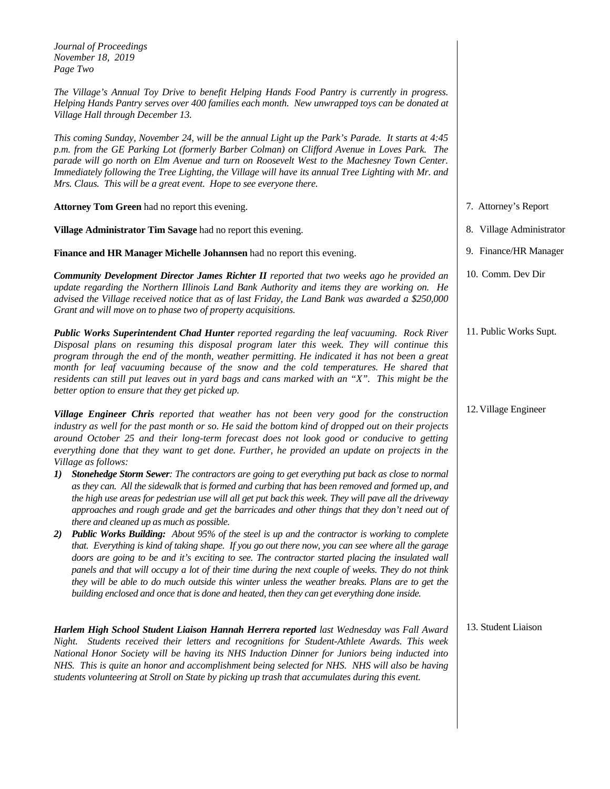*Journal of Proceedings November 18, 2019 Page Two* 

*The Village's Annual Toy Drive to benefit Helping Hands Food Pantry is currently in progress. Helping Hands Pantry serves over 400 families each month. New unwrapped toys can be donated at Village Hall through December 13.* 

*This coming Sunday, November 24, will be the annual Light up the Park's Parade. It starts at 4:45 p.m. from the GE Parking Lot (formerly Barber Colman) on Clifford Avenue in Loves Park. The parade will go north on Elm Avenue and turn on Roosevelt West to the Machesney Town Center. Immediately following the Tree Lighting, the Village will have its annual Tree Lighting with Mr. and Mrs. Claus. This will be a great event. Hope to see everyone there.* 

**Attorney Tom Green** had no report this evening.

**Village Administrator Tim Savage** had no report this evening.

**Finance and HR Manager Michelle Johannsen** had no report this evening.

*Community Development Director James Richter II reported that two weeks ago he provided an update regarding the Northern Illinois Land Bank Authority and items they are working on. He advised the Village received notice that as of last Friday, the Land Bank was awarded a \$250,000 Grant and will move on to phase two of property acquisitions.* 

*Public Works Superintendent Chad Hunter reported regarding the leaf vacuuming. Rock River Disposal plans on resuming this disposal program later this week. They will continue this program through the end of the month, weather permitting. He indicated it has not been a great month for leaf vacuuming because of the snow and the cold temperatures. He shared that residents can still put leaves out in yard bags and cans marked with an "X". This might be the better option to ensure that they get picked up.* 

*Village Engineer Chris reported that weather has not been very good for the construction industry as well for the past month or so. He said the bottom kind of dropped out on their projects around October 25 and their long-term forecast does not look good or conducive to getting everything done that they want to get done. Further, he provided an update on projects in the Village as follows:*

- *1) Stonehedge Storm Sewer: The contractors are going to get everything put back as close to normal as they can. All the sidewalk that is formed and curbing that has been removed and formed up, and the high use areas for pedestrian use will all get put back this week. They will pave all the driveway approaches and rough grade and get the barricades and other things that they don't need out of there and cleaned up as much as possible.*
- *2) Public Works Building: About 95% of the steel is up and the contractor is working to complete that. Everything is kind of taking shape. If you go out there now, you can see where all the garage*  doors are going to be and it's exciting to see. The contractor started placing the insulated wall *panels and that will occupy a lot of their time during the next couple of weeks. They do not think they will be able to do much outside this winter unless the weather breaks. Plans are to get the building enclosed and once that is done and heated, then they can get everything done inside.*

*Harlem High School Student Liaison Hannah Herrera reported last Wednesday was Fall Award Night. Students received their letters and recognitions for Student-Athlete Awards. This week National Honor Society will be having its NHS Induction Dinner for Juniors being inducted into NHS. This is quite an honor and accomplishment being selected for NHS. NHS will also be having students volunteering at Stroll on State by picking up trash that accumulates during this event.* 

7. Attorney's Report

- 8. Village Administrator
- 9. Finance/HR Manager
- 10. Comm. Dev Dir

11. Public Works Supt.

12.Village Engineer

13. Student Liaison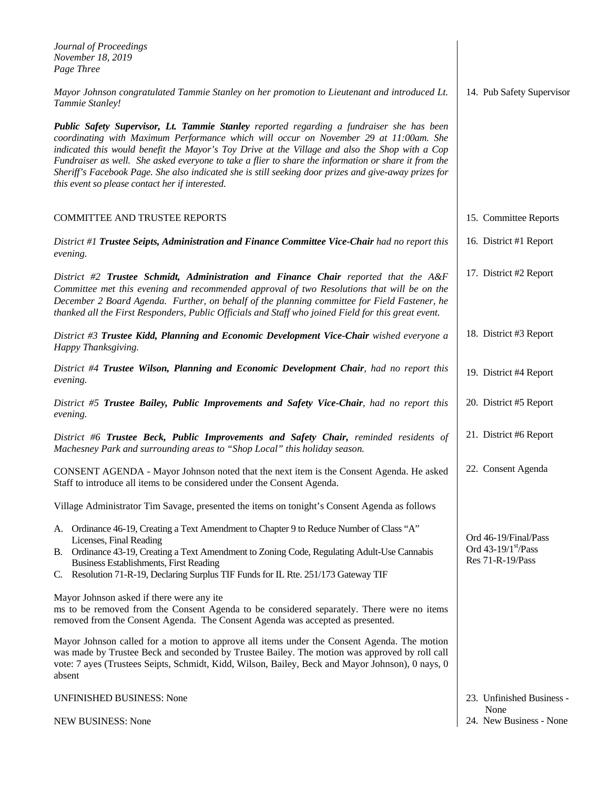| Journal of Proceedings<br>November 18, 2019<br>Page Three                                                                                                                                                                                                                                                                                                                                                                                                                                                                                                |                                                                |
|----------------------------------------------------------------------------------------------------------------------------------------------------------------------------------------------------------------------------------------------------------------------------------------------------------------------------------------------------------------------------------------------------------------------------------------------------------------------------------------------------------------------------------------------------------|----------------------------------------------------------------|
| Mayor Johnson congratulated Tammie Stanley on her promotion to Lieutenant and introduced Lt.<br>Tammie Stanley!                                                                                                                                                                                                                                                                                                                                                                                                                                          | 14. Pub Safety Supervisor                                      |
| Public Safety Supervisor, Lt. Tammie Stanley reported regarding a fundraiser she has been<br>coordinating with Maximum Performance which will occur on November 29 at 11:00am. She<br>indicated this would benefit the Mayor's Toy Drive at the Village and also the Shop with a Cop<br>Fundraiser as well. She asked everyone to take a flier to share the information or share it from the<br>Sheriff's Facebook Page. She also indicated she is still seeking door prizes and give-away prizes for<br>this event so please contact her if interested. |                                                                |
| <b>COMMITTEE AND TRUSTEE REPORTS</b>                                                                                                                                                                                                                                                                                                                                                                                                                                                                                                                     | 15. Committee Reports                                          |
| District #1 Trustee Seipts, Administration and Finance Committee Vice-Chair had no report this<br>evening.                                                                                                                                                                                                                                                                                                                                                                                                                                               | 16. District #1 Report                                         |
| District #2 Trustee Schmidt, Administration and Finance Chair reported that the A&F<br>Committee met this evening and recommended approval of two Resolutions that will be on the<br>December 2 Board Agenda. Further, on behalf of the planning committee for Field Fastener, he<br>thanked all the First Responders, Public Officials and Staff who joined Field for this great event.                                                                                                                                                                 | 17. District #2 Report                                         |
| District #3 Trustee Kidd, Planning and Economic Development Vice-Chair wished everyone a<br>Happy Thanksgiving.                                                                                                                                                                                                                                                                                                                                                                                                                                          | 18. District #3 Report                                         |
| District #4 Trustee Wilson, Planning and Economic Development Chair, had no report this<br>evening.                                                                                                                                                                                                                                                                                                                                                                                                                                                      | 19. District #4 Report                                         |
| District #5 Trustee Bailey, Public Improvements and Safety Vice-Chair, had no report this<br>evening.                                                                                                                                                                                                                                                                                                                                                                                                                                                    | 20. District #5 Report                                         |
| District #6 Trustee Beck, Public Improvements and Safety Chair, reminded residents of<br>Machesney Park and surrounding areas to "Shop Local" this holiday season.                                                                                                                                                                                                                                                                                                                                                                                       | 21. District #6 Report                                         |
| CONSENT AGENDA - Mayor Johnson noted that the next item is the Consent Agenda. He asked<br>Staff to introduce all items to be considered under the Consent Agenda.                                                                                                                                                                                                                                                                                                                                                                                       | 22. Consent Agenda                                             |
| Village Administrator Tim Savage, presented the items on tonight's Consent Agenda as follows                                                                                                                                                                                                                                                                                                                                                                                                                                                             |                                                                |
| A. Ordinance 46-19, Creating a Text Amendment to Chapter 9 to Reduce Number of Class "A"<br>Licenses, Final Reading<br>Ordinance 43-19, Creating a Text Amendment to Zoning Code, Regulating Adult-Use Cannabis<br>В.<br>Business Establishments, First Reading<br>Resolution 71-R-19, Declaring Surplus TIF Funds for IL Rte. 251/173 Gateway TIF<br>C.                                                                                                                                                                                                 | Ord 46-19/Final/Pass<br>Ord 43-19/1st/Pass<br>Res 71-R-19/Pass |
| Mayor Johnson asked if there were any ite<br>ms to be removed from the Consent Agenda to be considered separately. There were no items<br>removed from the Consent Agenda. The Consent Agenda was accepted as presented.                                                                                                                                                                                                                                                                                                                                 |                                                                |
| Mayor Johnson called for a motion to approve all items under the Consent Agenda. The motion<br>was made by Trustee Beck and seconded by Trustee Bailey. The motion was approved by roll call<br>vote: 7 ayes (Trustees Seipts, Schmidt, Kidd, Wilson, Bailey, Beck and Mayor Johnson), 0 nays, 0<br>absent                                                                                                                                                                                                                                               |                                                                |
| <b>UNFINISHED BUSINESS: None</b>                                                                                                                                                                                                                                                                                                                                                                                                                                                                                                                         | 23. Unfinished Business -                                      |
| <b>NEW BUSINESS: None</b>                                                                                                                                                                                                                                                                                                                                                                                                                                                                                                                                | None<br>24. New Business - None                                |